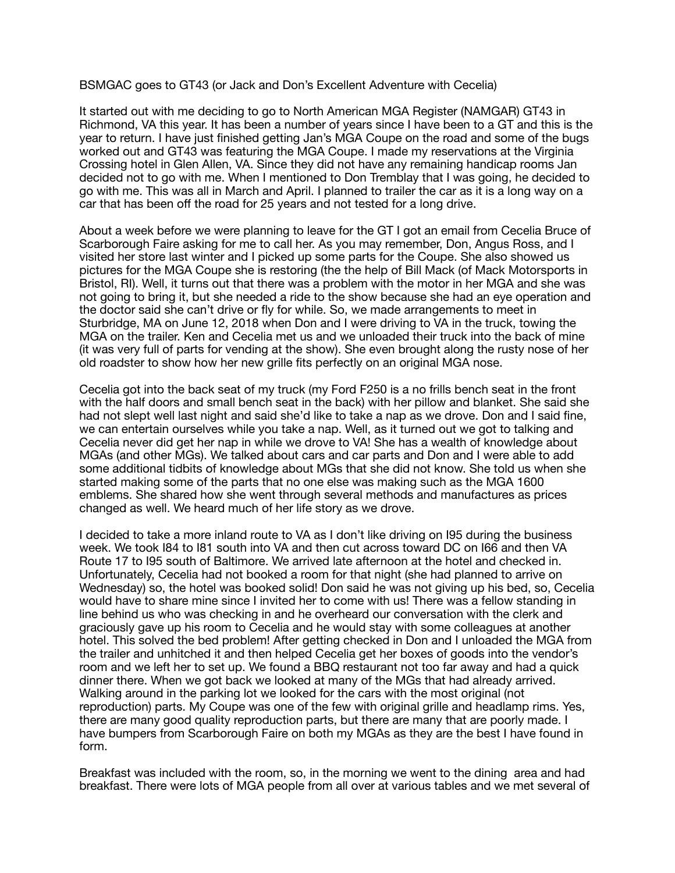BSMGAC goes to GT43 (or Jack and Don's Excellent Adventure with Cecelia)

It started out with me deciding to go to North American MGA Register (NAMGAR) GT43 in Richmond, VA this year. It has been a number of years since I have been to a GT and this is the year to return. I have just finished getting Jan's MGA Coupe on the road and some of the bugs worked out and GT43 was featuring the MGA Coupe. I made my reservations at the Virginia Crossing hotel in Glen Allen, VA. Since they did not have any remaining handicap rooms Jan decided not to go with me. When I mentioned to Don Tremblay that I was going, he decided to go with me. This was all in March and April. I planned to trailer the car as it is a long way on a car that has been off the road for 25 years and not tested for a long drive.

About a week before we were planning to leave for the GT I got an email from Cecelia Bruce of Scarborough Faire asking for me to call her. As you may remember, Don, Angus Ross, and I visited her store last winter and I picked up some parts for the Coupe. She also showed us pictures for the MGA Coupe she is restoring (the the help of Bill Mack (of Mack Motorsports in Bristol, RI). Well, it turns out that there was a problem with the motor in her MGA and she was not going to bring it, but she needed a ride to the show because she had an eye operation and the doctor said she can't drive or fly for while. So, we made arrangements to meet in Sturbridge, MA on June 12, 2018 when Don and I were driving to VA in the truck, towing the MGA on the trailer. Ken and Cecelia met us and we unloaded their truck into the back of mine (it was very full of parts for vending at the show). She even brought along the rusty nose of her old roadster to show how her new grille fits perfectly on an original MGA nose.

Cecelia got into the back seat of my truck (my Ford F250 is a no frills bench seat in the front with the half doors and small bench seat in the back) with her pillow and blanket. She said she had not slept well last night and said she'd like to take a nap as we drove. Don and I said fine, we can entertain ourselves while you take a nap. Well, as it turned out we got to talking and Cecelia never did get her nap in while we drove to VA! She has a wealth of knowledge about MGAs (and other MGs). We talked about cars and car parts and Don and I were able to add some additional tidbits of knowledge about MGs that she did not know. She told us when she started making some of the parts that no one else was making such as the MGA 1600 emblems. She shared how she went through several methods and manufactures as prices changed as well. We heard much of her life story as we drove.

I decided to take a more inland route to VA as I don't like driving on I95 during the business week. We took I84 to I81 south into VA and then cut across toward DC on I66 and then VA Route 17 to I95 south of Baltimore. We arrived late afternoon at the hotel and checked in. Unfortunately, Cecelia had not booked a room for that night (she had planned to arrive on Wednesday) so, the hotel was booked solid! Don said he was not giving up his bed, so, Cecelia would have to share mine since I invited her to come with us! There was a fellow standing in line behind us who was checking in and he overheard our conversation with the clerk and graciously gave up his room to Cecelia and he would stay with some colleagues at another hotel. This solved the bed problem! After getting checked in Don and I unloaded the MGA from the trailer and unhitched it and then helped Cecelia get her boxes of goods into the vendor's room and we left her to set up. We found a BBQ restaurant not too far away and had a quick dinner there. When we got back we looked at many of the MGs that had already arrived. Walking around in the parking lot we looked for the cars with the most original (not reproduction) parts. My Coupe was one of the few with original grille and headlamp rims. Yes, there are many good quality reproduction parts, but there are many that are poorly made. I have bumpers from Scarborough Faire on both my MGAs as they are the best I have found in form.

Breakfast was included with the room, so, in the morning we went to the dining area and had breakfast. There were lots of MGA people from all over at various tables and we met several of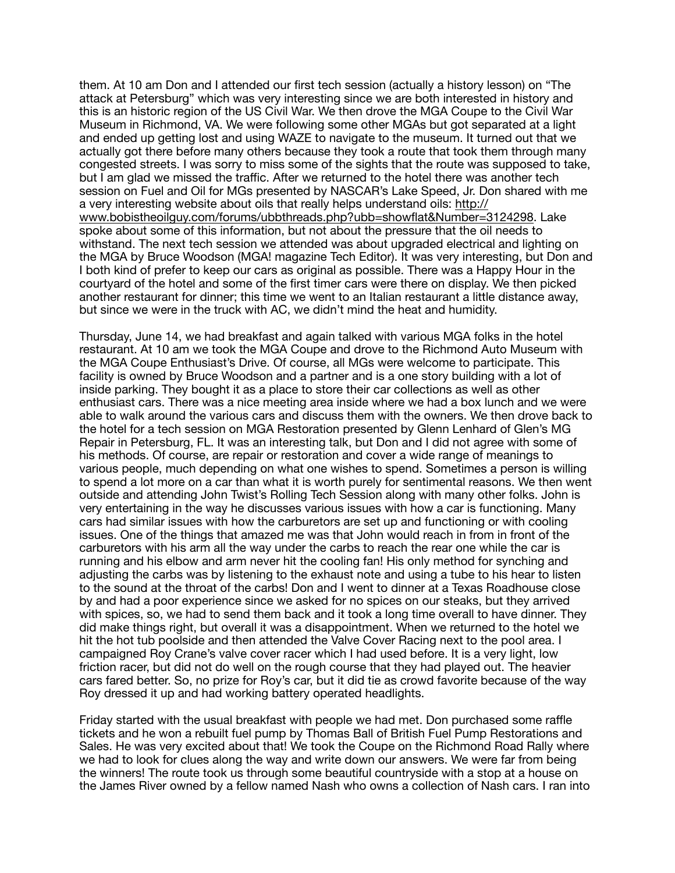them. At 10 am Don and I attended our first tech session (actually a history lesson) on "The attack at Petersburg" which was very interesting since we are both interested in history and this is an historic region of the US Civil War. We then drove the MGA Coupe to the Civil War Museum in Richmond, VA. We were following some other MGAs but got separated at a light and ended up getting lost and using WAZE to navigate to the museum. It turned out that we actually got there before many others because they took a route that took them through many congested streets. I was sorry to miss some of the sights that the route was supposed to take, but I am glad we missed the traffic. After we returned to the hotel there was another tech session on Fuel and Oil for MGs presented by NASCAR's Lake Speed, Jr. Don shared with me a very interesting website about oils that really helps understand oils: [http://](http://www.bobistheoilguy.com/forums/ubbthreads.php?ubb=showflat&Number=3124298) [www.bobistheoilguy.com/forums/ubbthreads.php?ubb=showflat&Number=3124298](http://www.bobistheoilguy.com/forums/ubbthreads.php?ubb=showflat&Number=3124298). Lake spoke about some of this information, but not about the pressure that the oil needs to withstand. The next tech session we attended was about upgraded electrical and lighting on the MGA by Bruce Woodson (MGA! magazine Tech Editor). It was very interesting, but Don and I both kind of prefer to keep our cars as original as possible. There was a Happy Hour in the courtyard of the hotel and some of the first timer cars were there on display. We then picked another restaurant for dinner; this time we went to an Italian restaurant a little distance away, but since we were in the truck with AC, we didn't mind the heat and humidity.

Thursday, June 14, we had breakfast and again talked with various MGA folks in the hotel restaurant. At 10 am we took the MGA Coupe and drove to the Richmond Auto Museum with the MGA Coupe Enthusiast's Drive. Of course, all MGs were welcome to participate. This facility is owned by Bruce Woodson and a partner and is a one story building with a lot of inside parking. They bought it as a place to store their car collections as well as other enthusiast cars. There was a nice meeting area inside where we had a box lunch and we were able to walk around the various cars and discuss them with the owners. We then drove back to the hotel for a tech session on MGA Restoration presented by Glenn Lenhard of Glen's MG Repair in Petersburg, FL. It was an interesting talk, but Don and I did not agree with some of his methods. Of course, are repair or restoration and cover a wide range of meanings to various people, much depending on what one wishes to spend. Sometimes a person is willing to spend a lot more on a car than what it is worth purely for sentimental reasons. We then went outside and attending John Twist's Rolling Tech Session along with many other folks. John is very entertaining in the way he discusses various issues with how a car is functioning. Many cars had similar issues with how the carburetors are set up and functioning or with cooling issues. One of the things that amazed me was that John would reach in from in front of the carburetors with his arm all the way under the carbs to reach the rear one while the car is running and his elbow and arm never hit the cooling fan! His only method for synching and adjusting the carbs was by listening to the exhaust note and using a tube to his hear to listen to the sound at the throat of the carbs! Don and I went to dinner at a Texas Roadhouse close by and had a poor experience since we asked for no spices on our steaks, but they arrived with spices, so, we had to send them back and it took a long time overall to have dinner. They did make things right, but overall it was a disappointment. When we returned to the hotel we hit the hot tub poolside and then attended the Valve Cover Racing next to the pool area. I campaigned Roy Crane's valve cover racer which I had used before. It is a very light, low friction racer, but did not do well on the rough course that they had played out. The heavier cars fared better. So, no prize for Roy's car, but it did tie as crowd favorite because of the way Roy dressed it up and had working battery operated headlights.

Friday started with the usual breakfast with people we had met. Don purchased some raffle tickets and he won a rebuilt fuel pump by Thomas Ball of British Fuel Pump Restorations and Sales. He was very excited about that! We took the Coupe on the Richmond Road Rally where we had to look for clues along the way and write down our answers. We were far from being the winners! The route took us through some beautiful countryside with a stop at a house on the James River owned by a fellow named Nash who owns a collection of Nash cars. I ran into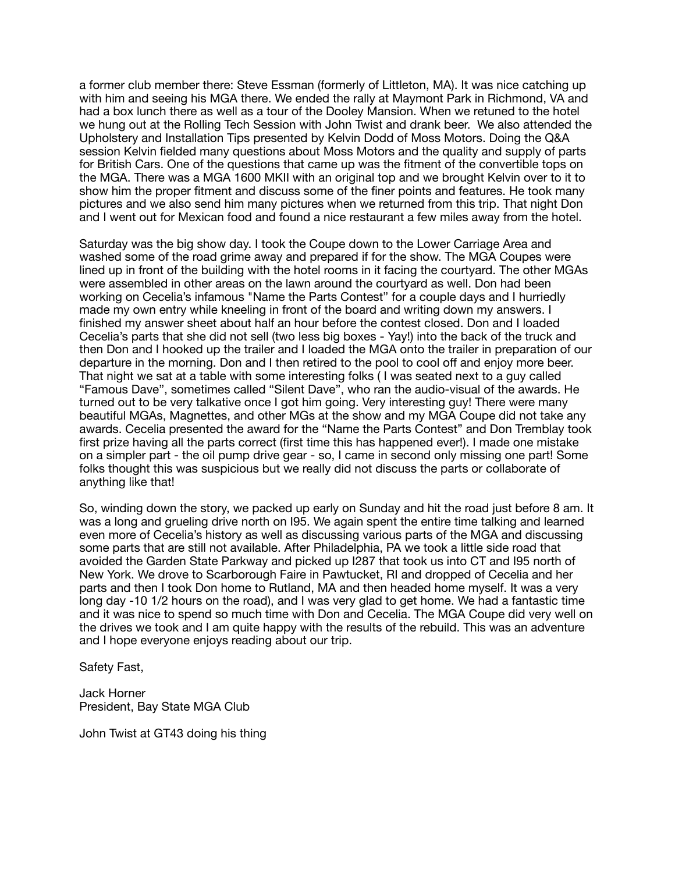a former club member there: Steve Essman (formerly of Littleton, MA). It was nice catching up with him and seeing his MGA there. We ended the rally at Maymont Park in Richmond, VA and had a box lunch there as well as a tour of the Dooley Mansion. When we retuned to the hotel we hung out at the Rolling Tech Session with John Twist and drank beer. We also attended the Upholstery and Installation Tips presented by Kelvin Dodd of Moss Motors. Doing the Q&A session Kelvin fielded many questions about Moss Motors and the quality and supply of parts for British Cars. One of the questions that came up was the fitment of the convertible tops on the MGA. There was a MGA 1600 MKII with an original top and we brought Kelvin over to it to show him the proper fitment and discuss some of the finer points and features. He took many pictures and we also send him many pictures when we returned from this trip. That night Don and I went out for Mexican food and found a nice restaurant a few miles away from the hotel.

Saturday was the big show day. I took the Coupe down to the Lower Carriage Area and washed some of the road grime away and prepared if for the show. The MGA Coupes were lined up in front of the building with the hotel rooms in it facing the courtyard. The other MGAs were assembled in other areas on the lawn around the courtyard as well. Don had been working on Cecelia's infamous "Name the Parts Contest" for a couple days and I hurriedly made my own entry while kneeling in front of the board and writing down my answers. I finished my answer sheet about half an hour before the contest closed. Don and I loaded Cecelia's parts that she did not sell (two less big boxes - Yay!) into the back of the truck and then Don and I hooked up the trailer and I loaded the MGA onto the trailer in preparation of our departure in the morning. Don and I then retired to the pool to cool off and enjoy more beer. That night we sat at a table with some interesting folks ( I was seated next to a guy called "Famous Dave", sometimes called "Silent Dave", who ran the audio-visual of the awards. He turned out to be very talkative once I got him going. Very interesting guy! There were many beautiful MGAs, Magnettes, and other MGs at the show and my MGA Coupe did not take any awards. Cecelia presented the award for the "Name the Parts Contest" and Don Tremblay took first prize having all the parts correct (first time this has happened ever!). I made one mistake on a simpler part - the oil pump drive gear - so, I came in second only missing one part! Some folks thought this was suspicious but we really did not discuss the parts or collaborate of anything like that!

So, winding down the story, we packed up early on Sunday and hit the road just before 8 am. It was a long and grueling drive north on I95. We again spent the entire time talking and learned even more of Cecelia's history as well as discussing various parts of the MGA and discussing some parts that are still not available. After Philadelphia, PA we took a little side road that avoided the Garden State Parkway and picked up I287 that took us into CT and I95 north of New York. We drove to Scarborough Faire in Pawtucket, RI and dropped of Cecelia and her parts and then I took Don home to Rutland, MA and then headed home myself. It was a very long day -10 1/2 hours on the road), and I was very glad to get home. We had a fantastic time and it was nice to spend so much time with Don and Cecelia. The MGA Coupe did very well on the drives we took and I am quite happy with the results of the rebuild. This was an adventure and I hope everyone enjoys reading about our trip.

Safety Fast,

Jack Horner President, Bay State MGA Club

John Twist at GT43 doing his thing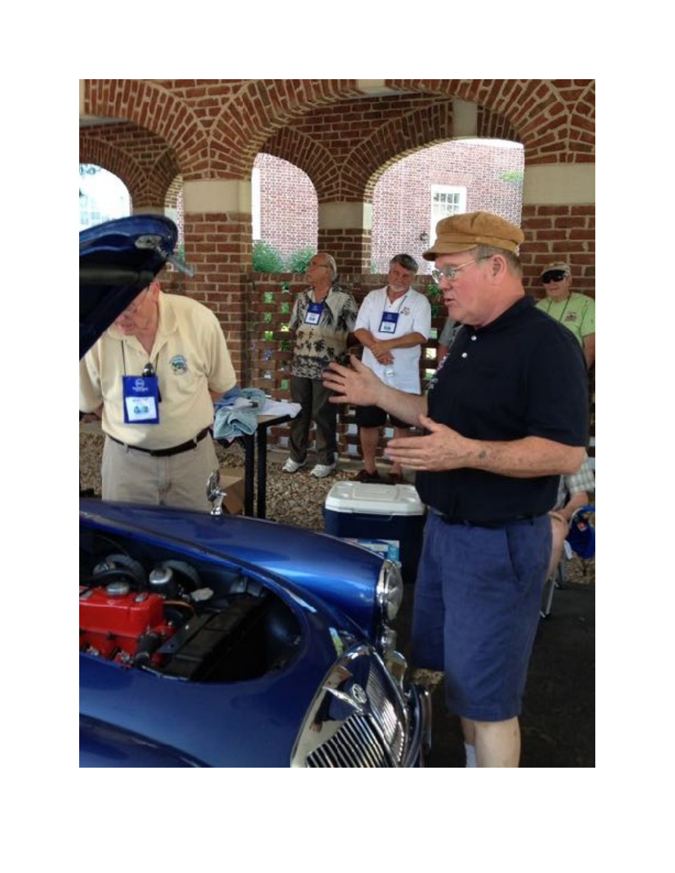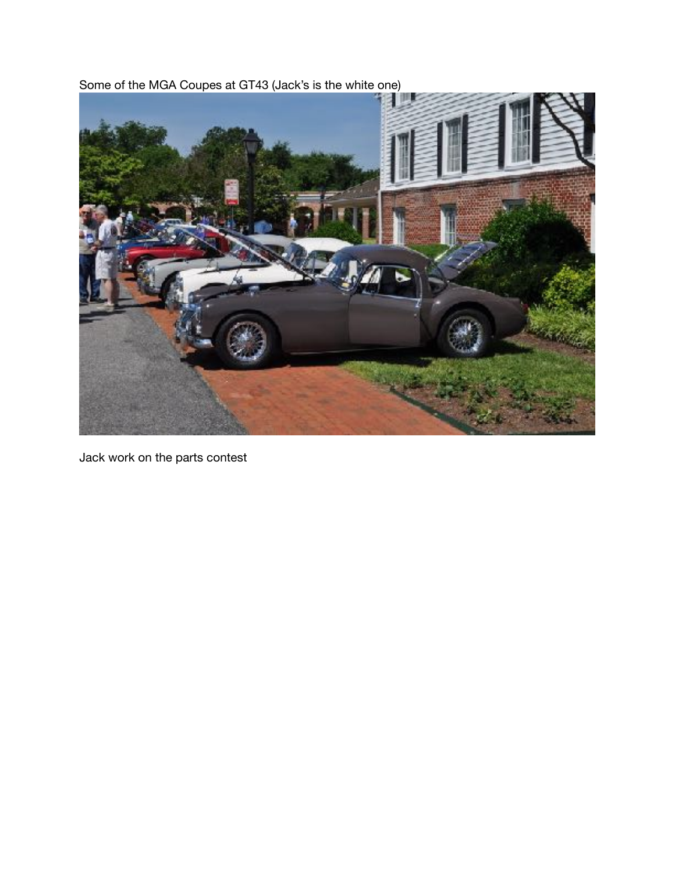Some of the MGA Coupes at GT43 (Jack's is the white one)



Jack work on the parts contest